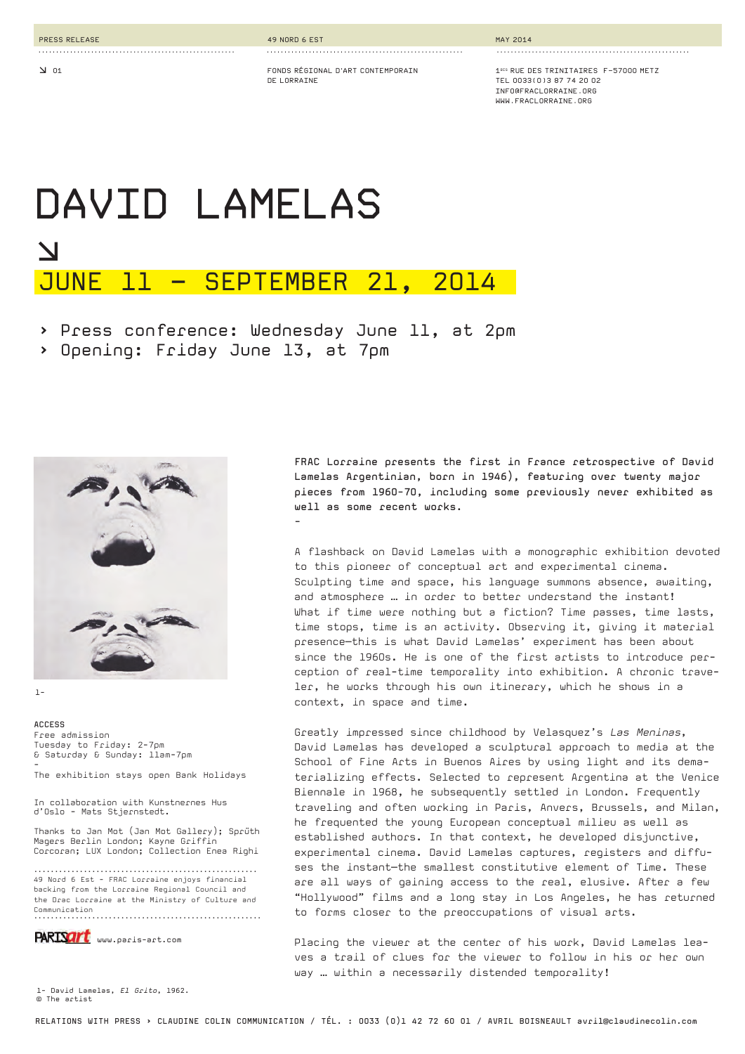**d 01**

**........................................................** 

**DE LORRAINE**

**........................................................** 

**FONDS RÉGIONAL D'ART CONTEMPORAIN**

**MAY 2014**

**1BIS RUE DES TRINITAIRES F-57000 METZTEL 0033(0)3 87 74 20 02 INFO@FRACLORRAINE.ORG WWW.FRACLORRAINE.ORG**

**.......................................................** 

# **DAVID LAMELASd**JUNE 11 – SEPTEMBER 21, 2014

> Press conference: Wednesday June 11, at 2pm

**-**

> Opening: Friday June 13, at 7pm



1-

**ACCESS**  Free admission Tuesday to Friday: 2-7pm & Saturday & Sunday: 11am-7pm -

The exhibition stays open Bank Holidays

In collaboration with Kunstnernes Hus d'Oslo - Mats Stjernstedt.

Thanks to Jan Mot (Jan Mot Gallery); Spru*̈*th Magers Berlin London; Kayne Griffin Corcoran; LUX London; Collection Enea Righi

...................................................... 49 Nord 6 Est - FRAC Lorraine enjoys financial backing from the Lorraine Regional Council and the Drac Lorraine at the Ministry of Culture and Communication .......................................................

PARISArt www.paris-art.com

1- David Lamelas, *El Grito*, 1962. © The artist

**FRAC Lorraine presents the first in France retrospective of David Lamelas Argentinian, born in 1946), featuring over twenty major pieces from 1960-70, including some previously never exhibited as well as some recent works.**

A flashback on David Lamelas with a monographic exhibition devoted to this pioneer of conceptual art and experimental cinema. Sculpting time and space, his language summons absence, awaiting, and atmosphere … in order to better understand the instant! What if time were nothing but a fiction? Time passes, time lasts, time stops, time is an activity. Observing it, giving it material presence—this is what David Lamelas' experiment has been about since the 1960s. He is one of the first artists to introduce perception of real-time temporality into exhibition. A chronic traveler, he works through his own itinerary, which he shows in a context, in space and time.

Greatly impressed since childhood by Velasquez's *Las Meninas*, David Lamelas has developed a sculptural approach to media at the School of Fine Arts in Buenos Aires by using light and its dematerializing effects. Selected to represent Argentina at the Venice Biennale in 1968, he subsequently settled in London. Frequently traveling and often working in Paris, Anvers, Brussels, and Milan, he frequented the young European conceptual milieu as well as established authors. In that context, he developed disjunctive, experimental cinema. David Lamelas captures, registers and diffuses the instant—the smallest constitutive element of Time. These are all ways of gaining access to the real, elusive. After a few "Hollywood" films and a long stay in Los Angeles, he has returned to forms closer to the preoccupations of visual arts.

Placing the viewer at the center of his work, David Lamelas leaves a trail of clues for the viewer to follow in his or her own way ... within a necessarily distended temporality!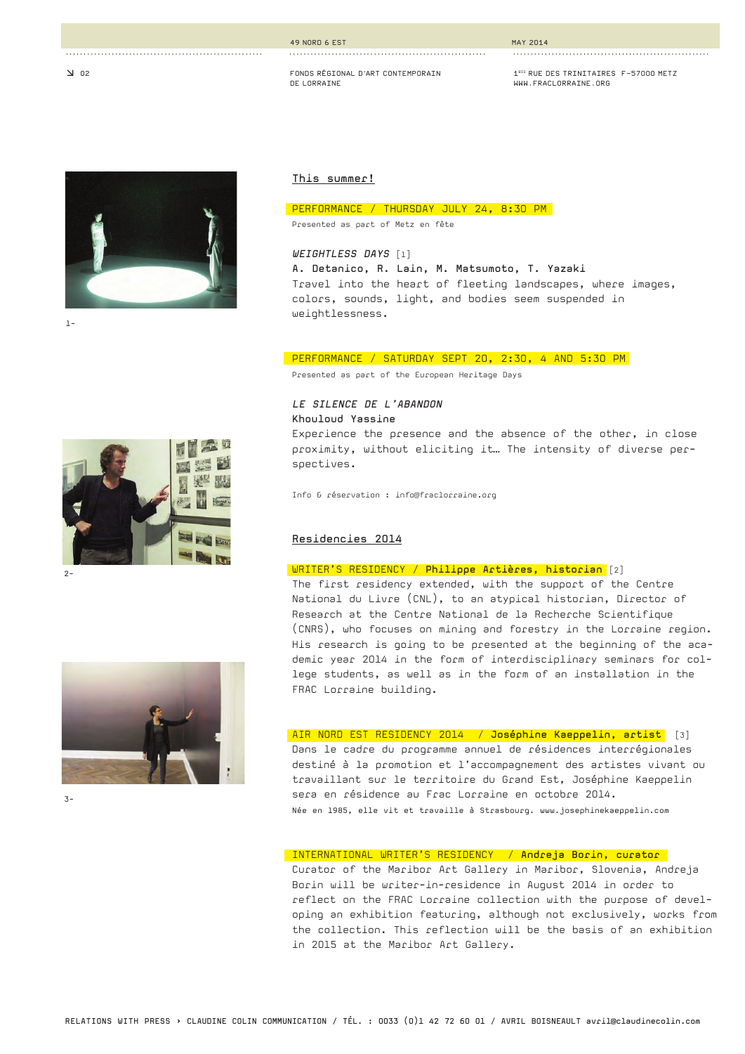#### **49 NORD 6 EST**

#### **MAY 2014**

**FONDS RÉGIONAL D'ART CONTEMPORAIN DE LORRAINE**

**........................................................** 

**1BIS RUE DES TRINITAIRES F-57000 METZ WWW.FRACLORRAINE.ORG**

**........................................................** 



**........................................................** 

1-

#### **This summer!**

#### PERFORMANCE / THURSDAY JULY 24, 8:30 PM

Presented as part of Metz en fête

*WEIGHTLESS DAYS* [1] **A. Detanico, R. Lain, M. Matsumoto, T. Yazaki** Travel into the heart of fleeting landscapes, where images, colors, sounds, light, and bodies seem suspended in weightlessness.

#### PERFORMANCE / SATURDAY SEPT 20, 2:30, 4 AND 5:30 PM

Presented as part of the European Heritage Days

*LE SILENCE DE L'ABANDON* **Khouloud Yassine**

Experience the presence and the absence of the other, in close proximity, without eliciting it… The intensity of diverse perspectives.

Info & réservation : info@fraclorraine.org

### **Residencies 2014**

# WRITER'S RESIDENCY / **Philippe Artières, historian** [2]

The first residency extended, with the support of the Centre National du Livre (CNL), to an atypical historian, Director of Research at the Centre National de la Recherche Scientifique (CNRS), who focuses on mining and forestry in the Lorraine region. His research is going to be presented at the beginning of the academic year 2014 in the form of interdisciplinary seminars for college students, as well as in the form of an installation in the FRAC Lorraine building.

#### $\overline{3}$ -

#### AIR NORD EST RESIDENCY 2014 / **Joséphine Kaeppelin, artist** [3]

Dans le cadre du programme annuel de résidences interrégionales destiné à la promotion et l'accompagnement des artistes vivant ou travaillant sur le territoire du Grand Est, Joséphine Kaeppelin sera en résidence au Frac Lorraine en octobre 2014. Née en 1985, elle vit et travaille à Strasbourg. www.josephinekaeppelin.com

## INTERNATIONAL WRITER'S RESIDENCY / **Andreja Borin, curator**

Curator of the Maribor Art Gallery in Maribor, Slovenia, Andreja Borin will be writer-in-residence in August 2014 in order to reflect on the FRAC Lorraine collection with the purpose of developing an exhibition featuring, although not exclusively, works from the collection. This reflection will be the basis of an exhibition in 2015 at the Maribor Art Gallery.



#### 2-